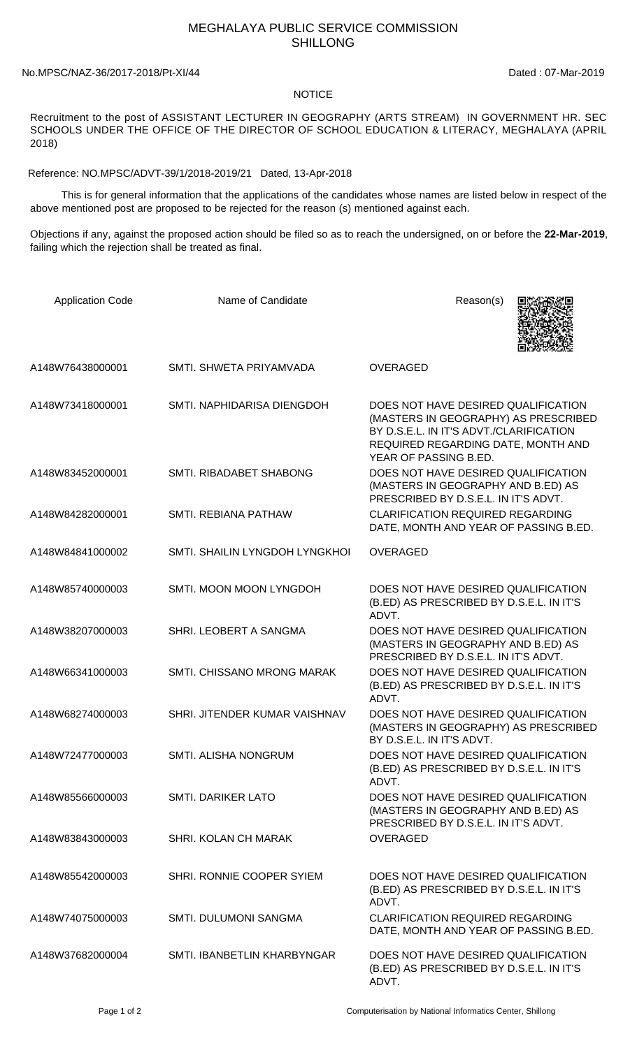## MEGHALAYA PUBLIC SERVICE COMMISSION SHILLONG

## No.MPSC/NAZ-36/2017-2018/Pt-XI/44 Dated : 07-Mar-2019

## **NOTICE**

Recruitment to the post of ASSISTANT LECTURER IN GEOGRAPHY (ARTS STREAM) IN GOVERNMENT HR. SEC SCHOOLS UNDER THE OFFICE OF THE DIRECTOR OF SCHOOL EDUCATION & LITERACY, MEGHALAYA (APRIL 2018)

Reference: NO.MPSC/ADVT-39/1/2018-2019/21 Dated, 13-Apr-2018

 This is for general information that the applications of the candidates whose names are listed below in respect of the above mentioned post are proposed to be rejected for the reason (s) mentioned against each.

Objections if any, against the proposed action should be filed so as to reach the undersigned, on or before the **22-Mar-2019**, failing which the rejection shall be treated as final.

| <b>Application Code</b> | Name of Candidate              | Reason(s)                                                                                                                                                                             |
|-------------------------|--------------------------------|---------------------------------------------------------------------------------------------------------------------------------------------------------------------------------------|
| A148W76438000001        | SMTI. SHWETA PRIYAMVADA        | <b>OVERAGED</b>                                                                                                                                                                       |
| A148W73418000001        | SMTI. NAPHIDARISA DIENGDOH     | DOES NOT HAVE DESIRED QUALIFICATION<br>(MASTERS IN GEOGRAPHY) AS PRESCRIBED<br>BY D.S.E.L. IN IT'S ADVT./CLARIFICATION<br>REQUIRED REGARDING DATE, MONTH AND<br>YEAR OF PASSING B.ED. |
| A148W83452000001        | SMTI. RIBADABET SHABONG        | DOES NOT HAVE DESIRED QUALIFICATION<br>(MASTERS IN GEOGRAPHY AND B.ED) AS<br>PRESCRIBED BY D.S.E.L. IN IT'S ADVT.                                                                     |
| A148W84282000001        | SMTI. REBIANA PATHAW           | <b>CLARIFICATION REQUIRED REGARDING</b><br>DATE, MONTH AND YEAR OF PASSING B.ED.                                                                                                      |
| A148W84841000002        | SMTI. SHAILIN LYNGDOH LYNGKHOI | <b>OVERAGED</b>                                                                                                                                                                       |
| A148W85740000003        | SMTI. MOON MOON LYNGDOH        | DOES NOT HAVE DESIRED QUALIFICATION<br>(B.ED) AS PRESCRIBED BY D.S.E.L. IN IT'S<br>ADVT.                                                                                              |
| A148W38207000003        | SHRI. LEOBERT A SANGMA         | DOES NOT HAVE DESIRED QUALIFICATION<br>(MASTERS IN GEOGRAPHY AND B.ED) AS<br>PRESCRIBED BY D.S.E.L. IN IT'S ADVT.                                                                     |
| A148W66341000003        | SMTI. CHISSANO MRONG MARAK     | DOES NOT HAVE DESIRED QUALIFICATION<br>(B.ED) AS PRESCRIBED BY D.S.E.L. IN IT'S<br>ADVT.                                                                                              |
| A148W68274000003        | SHRI. JITENDER KUMAR VAISHNAV  | DOES NOT HAVE DESIRED QUALIFICATION<br>(MASTERS IN GEOGRAPHY) AS PRESCRIBED<br>BY D.S.E.L. IN IT'S ADVT.                                                                              |
| A148W72477000003        | SMTI. ALISHA NONGRUM           | DOES NOT HAVE DESIRED QUALIFICATION<br>(B.ED) AS PRESCRIBED BY D.S.E.L. IN IT'S<br>ADVT.                                                                                              |
| A148W85566000003        | <b>SMTI. DARIKER LATO</b>      | DOES NOT HAVE DESIRED QUALIFICATION<br>(MASTERS IN GEOGRAPHY AND B.ED) AS<br>PRESCRIBED BY D.S.E.L. IN IT'S ADVT.                                                                     |
| A148W83843000003        | SHRI. KOLAN CH MARAK           | <b>OVERAGED</b>                                                                                                                                                                       |
| A148W85542000003        | SHRI. RONNIE COOPER SYIEM      | DOES NOT HAVE DESIRED QUALIFICATION<br>(B.ED) AS PRESCRIBED BY D.S.E.L. IN IT'S<br>ADVT.                                                                                              |
| A148W74075000003        | SMTI. DULUMONI SANGMA          | <b>CLARIFICATION REQUIRED REGARDING</b><br>DATE, MONTH AND YEAR OF PASSING B.ED.                                                                                                      |
| A148W37682000004        | SMTI. IBANBETLIN KHARBYNGAR    | DOES NOT HAVE DESIRED QUALIFICATION<br>(B.ED) AS PRESCRIBED BY D.S.E.L. IN IT'S<br>ADVT.                                                                                              |